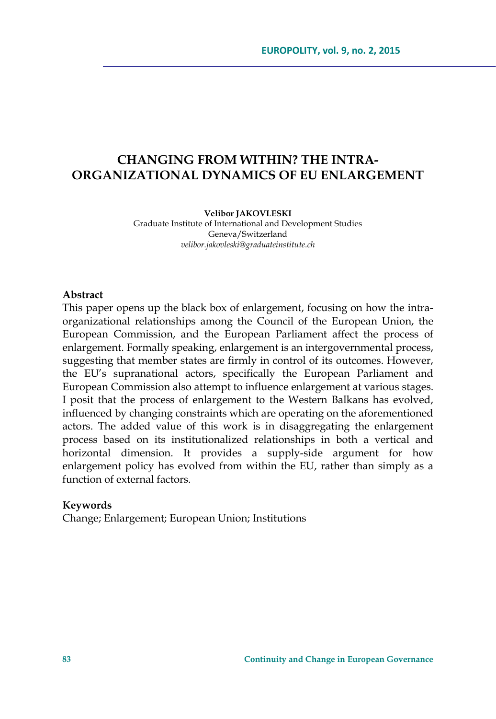# **CHANGING FROM WITHIN? THE INTRA-ORGANIZATIONAL DYNAMICS OF EU ENLARGEMENT**

#### **Velibor JAKOVLESKI**

Graduate Institute of International and Development Studies Geneva/Switzerland *velibor.jakovleski@graduateinstitute.ch* 

### **Abstract**

This paper opens up the black box of enlargement, focusing on how the intraorganizational relationships among the Council of the European Union, the European Commission, and the European Parliament affect the process of enlargement. Formally speaking, enlargement is an intergovernmental process, suggesting that member states are firmly in control of its outcomes. However, the EU's supranational actors, specifically the European Parliament and European Commission also attempt to influence enlargement at various stages. I posit that the process of enlargement to the Western Balkans has evolved, influenced by changing constraints which are operating on the aforementioned actors. The added value of this work is in disaggregating the enlargement process based on its institutionalized relationships in both a vertical and horizontal dimension. It provides a supply-side argument for how enlargement policy has evolved from within the EU, rather than simply as a function of external factors.

#### **Keywords**

Change; Enlargement; European Union; Institutions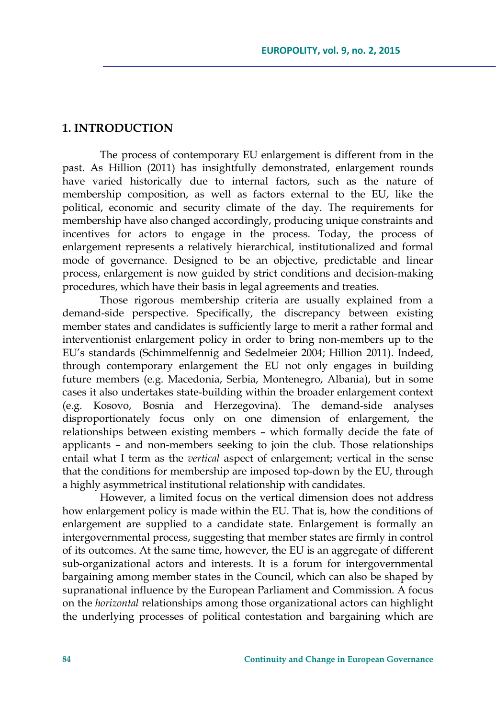# **1. INTRODUCTION**

The process of contemporary EU enlargement is different from in the past. As Hillion (2011) has insightfully demonstrated, enlargement rounds have varied historically due to internal factors, such as the nature of membership composition, as well as factors external to the EU, like the political, economic and security climate of the day. The requirements for membership have also changed accordingly, producing unique constraints and incentives for actors to engage in the process. Today, the process of enlargement represents a relatively hierarchical, institutionalized and formal mode of governance. Designed to be an objective, predictable and linear process, enlargement is now guided by strict conditions and decision-making procedures, which have their basis in legal agreements and treaties.

Those rigorous membership criteria are usually explained from a demand-side perspective. Specifically, the discrepancy between existing member states and candidates is sufficiently large to merit a rather formal and interventionist enlargement policy in order to bring non-members up to the EU's standards (Schimmelfennig and Sedelmeier 2004; Hillion 2011). Indeed, through contemporary enlargement the EU not only engages in building future members (e.g. Macedonia, Serbia, Montenegro, Albania), but in some cases it also undertakes state-building within the broader enlargement context (e.g. Kosovo, Bosnia and Herzegovina). The demand-side analyses disproportionately focus only on one dimension of enlargement, the relationships between existing members – which formally decide the fate of applicants – and non-members seeking to join the club. Those relationships entail what I term as the *vertical* aspect of enlargement; vertical in the sense that the conditions for membership are imposed top-down by the EU, through a highly asymmetrical institutional relationship with candidates.

However, a limited focus on the vertical dimension does not address how enlargement policy is made within the EU. That is, how the conditions of enlargement are supplied to a candidate state. Enlargement is formally an intergovernmental process, suggesting that member states are firmly in control of its outcomes. At the same time, however, the EU is an aggregate of different sub-organizational actors and interests. It is a forum for intergovernmental bargaining among member states in the Council, which can also be shaped by supranational influence by the European Parliament and Commission. A focus on the *horizontal* relationships among those organizational actors can highlight the underlying processes of political contestation and bargaining which are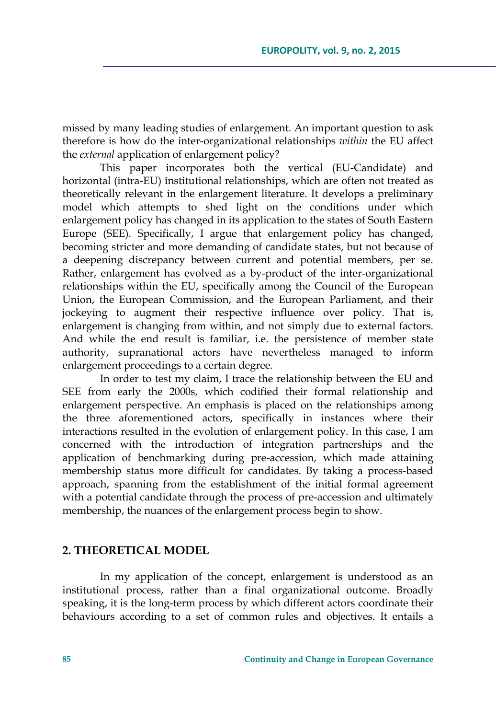missed by many leading studies of enlargement. An important question to ask therefore is how do the inter-organizational relationships *within* the EU affect the *external* application of enlargement policy?

This paper incorporates both the vertical (EU-Candidate) and horizontal (intra-EU) institutional relationships, which are often not treated as theoretically relevant in the enlargement literature. It develops a preliminary model which attempts to shed light on the conditions under which enlargement policy has changed in its application to the states of South Eastern Europe (SEE). Specifically, I argue that enlargement policy has changed, becoming stricter and more demanding of candidate states, but not because of a deepening discrepancy between current and potential members, per se. Rather, enlargement has evolved as a by-product of the inter-organizational relationships within the EU, specifically among the Council of the European Union, the European Commission, and the European Parliament, and their jockeying to augment their respective influence over policy. That is, enlargement is changing from within, and not simply due to external factors. And while the end result is familiar, i.e. the persistence of member state authority, supranational actors have nevertheless managed to inform enlargement proceedings to a certain degree.

In order to test my claim, I trace the relationship between the EU and SEE from early the 2000s, which codified their formal relationship and enlargement perspective. An emphasis is placed on the relationships among the three aforementioned actors, specifically in instances where their interactions resulted in the evolution of enlargement policy. In this case, I am concerned with the introduction of integration partnerships and the application of benchmarking during pre-accession, which made attaining membership status more difficult for candidates. By taking a process-based approach, spanning from the establishment of the initial formal agreement with a potential candidate through the process of pre-accession and ultimately membership, the nuances of the enlargement process begin to show.

### **2. THEORETICAL MODEL**

In my application of the concept, enlargement is understood as an institutional process, rather than a final organizational outcome. Broadly speaking, it is the long-term process by which different actors coordinate their behaviours according to a set of common rules and objectives. It entails a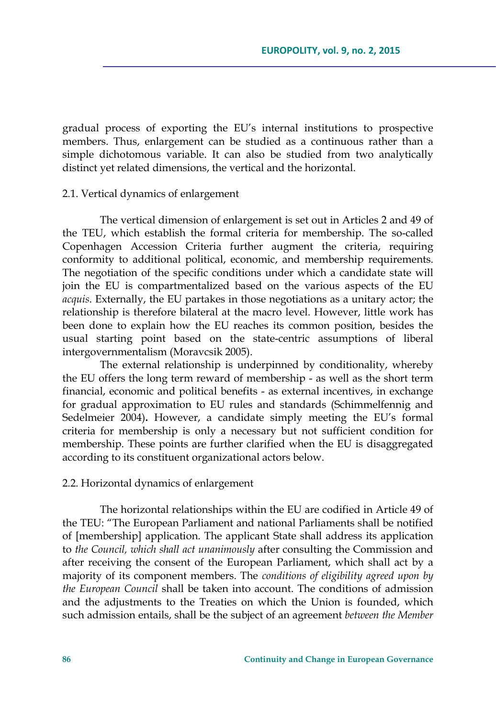gradual process of exporting the EU's internal institutions to prospective members. Thus, enlargement can be studied as a continuous rather than a simple dichotomous variable. It can also be studied from two analytically distinct yet related dimensions, the vertical and the horizontal.

### 2.1. Vertical dynamics of enlargement

The vertical dimension of enlargement is set out in Articles 2 and 49 of the TEU, which establish the formal criteria for membership. The so-called Copenhagen Accession Criteria further augment the criteria, requiring conformity to additional political, economic, and membership requirements. The negotiation of the specific conditions under which a candidate state will join the EU is compartmentalized based on the various aspects of the EU *acquis*. Externally, the EU partakes in those negotiations as a unitary actor; the relationship is therefore bilateral at the macro level. However, little work has been done to explain how the EU reaches its common position, besides the usual starting point based on the state-centric assumptions of liberal intergovernmentalism (Moravcsik 2005).

The external relationship is underpinned by conditionality, whereby the EU offers the long term reward of membership - as well as the short term financial, economic and political benefits - as external incentives, in exchange for gradual approximation to EU rules and standards (Schimmelfennig and Sedelmeier 2004)**.** However, a candidate simply meeting the EU's formal criteria for membership is only a necessary but not sufficient condition for membership. These points are further clarified when the EU is disaggregated according to its constituent organizational actors below.

#### 2.2. Horizontal dynamics of enlargement

The horizontal relationships within the EU are codified in Article 49 of the TEU: "The European Parliament and national Parliaments shall be notified of [membership] application. The applicant State shall address its application to *the Council, which shall act unanimously* after consulting the Commission and after receiving the consent of the European Parliament, which shall act by a majority of its component members. The *conditions of eligibility agreed upon by the European Council* shall be taken into account. The conditions of admission and the adjustments to the Treaties on which the Union is founded, which such admission entails, shall be the subject of an agreement *between the Member*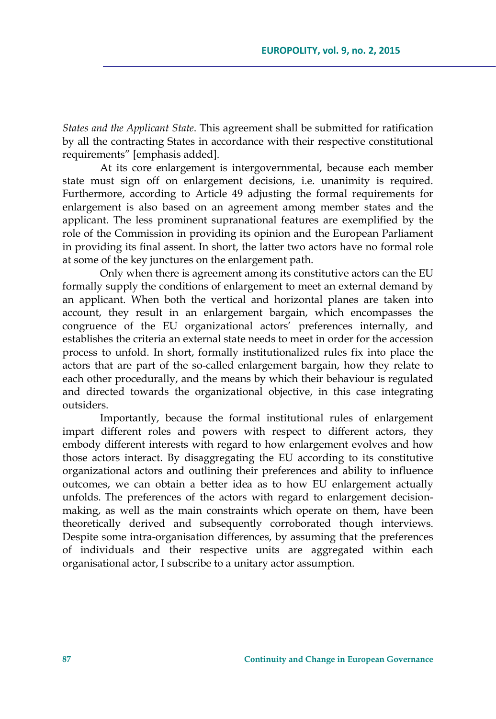*States and the Applicant State*. This agreement shall be submitted for ratification by all the contracting States in accordance with their respective constitutional requirements" [emphasis added].

At its core enlargement is intergovernmental, because each member state must sign off on enlargement decisions, i.e. unanimity is required. Furthermore, according to Article 49 adjusting the formal requirements for enlargement is also based on an agreement among member states and the applicant. The less prominent supranational features are exemplified by the role of the Commission in providing its opinion and the European Parliament in providing its final assent. In short, the latter two actors have no formal role at some of the key junctures on the enlargement path.

Only when there is agreement among its constitutive actors can the EU formally supply the conditions of enlargement to meet an external demand by an applicant. When both the vertical and horizontal planes are taken into account, they result in an enlargement bargain, which encompasses the congruence of the EU organizational actors' preferences internally, and establishes the criteria an external state needs to meet in order for the accession process to unfold. In short, formally institutionalized rules fix into place the actors that are part of the so-called enlargement bargain, how they relate to each other procedurally, and the means by which their behaviour is regulated and directed towards the organizational objective, in this case integrating outsiders.

Importantly, because the formal institutional rules of enlargement impart different roles and powers with respect to different actors, they embody different interests with regard to how enlargement evolves and how those actors interact. By disaggregating the EU according to its constitutive organizational actors and outlining their preferences and ability to influence outcomes, we can obtain a better idea as to how EU enlargement actually unfolds. The preferences of the actors with regard to enlargement decisionmaking, as well as the main constraints which operate on them, have been theoretically derived and subsequently corroborated though interviews. Despite some intra-organisation differences, by assuming that the preferences of individuals and their respective units are aggregated within each organisational actor, I subscribe to a unitary actor assumption.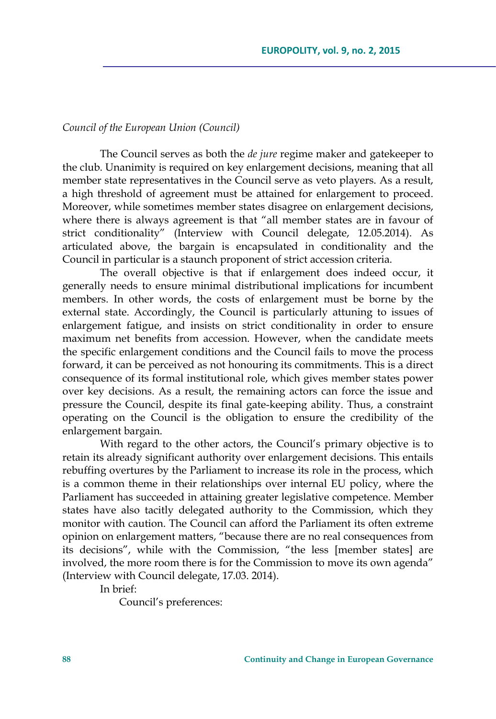### *Council of the European Union (Council)*

The Council serves as both the *de jure* regime maker and gatekeeper to the club. Unanimity is required on key enlargement decisions, meaning that all member state representatives in the Council serve as veto players. As a result, a high threshold of agreement must be attained for enlargement to proceed. Moreover, while sometimes member states disagree on enlargement decisions, where there is always agreement is that "all member states are in favour of strict conditionality" (Interview with Council delegate, 12.05.2014). As articulated above, the bargain is encapsulated in conditionality and the Council in particular is a staunch proponent of strict accession criteria.

The overall objective is that if enlargement does indeed occur, it generally needs to ensure minimal distributional implications for incumbent members. In other words, the costs of enlargement must be borne by the external state. Accordingly, the Council is particularly attuning to issues of enlargement fatigue, and insists on strict conditionality in order to ensure maximum net benefits from accession. However, when the candidate meets the specific enlargement conditions and the Council fails to move the process forward, it can be perceived as not honouring its commitments. This is a direct consequence of its formal institutional role, which gives member states power over key decisions. As a result, the remaining actors can force the issue and pressure the Council, despite its final gate-keeping ability. Thus, a constraint operating on the Council is the obligation to ensure the credibility of the enlargement bargain.

With regard to the other actors, the Council's primary objective is to retain its already significant authority over enlargement decisions. This entails rebuffing overtures by the Parliament to increase its role in the process, which is a common theme in their relationships over internal EU policy, where the Parliament has succeeded in attaining greater legislative competence. Member states have also tacitly delegated authority to the Commission, which they monitor with caution. The Council can afford the Parliament its often extreme opinion on enlargement matters, "because there are no real consequences from its decisions", while with the Commission, "the less [member states] are involved, the more room there is for the Commission to move its own agenda" (Interview with Council delegate, 17.03. 2014).

In brief:

Council's preferences: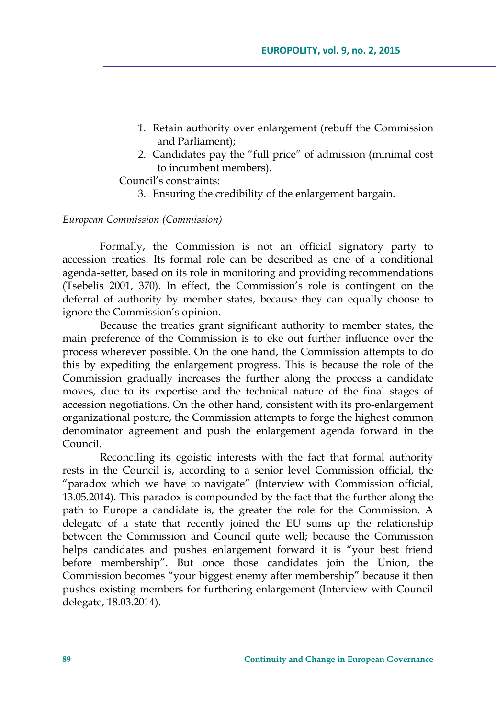- 1. Retain authority over enlargement (rebuff the Commission and Parliament);
- 2. Candidates pay the "full price" of admission (minimal cost to incumbent members).

## Council's constraints:

3. Ensuring the credibility of the enlargement bargain.

### *European Commission (Commission)*

Formally, the Commission is not an official signatory party to accession treaties. Its formal role can be described as one of a conditional agenda-setter, based on its role in monitoring and providing recommendations (Tsebelis 2001, 370). In effect, the Commission's role is contingent on the deferral of authority by member states, because they can equally choose to ignore the Commission's opinion.

Because the treaties grant significant authority to member states, the main preference of the Commission is to eke out further influence over the process wherever possible. On the one hand, the Commission attempts to do this by expediting the enlargement progress. This is because the role of the Commission gradually increases the further along the process a candidate moves, due to its expertise and the technical nature of the final stages of accession negotiations. On the other hand, consistent with its pro-enlargement organizational posture, the Commission attempts to forge the highest common denominator agreement and push the enlargement agenda forward in the Council.

Reconciling its egoistic interests with the fact that formal authority rests in the Council is, according to a senior level Commission official, the "paradox which we have to navigate" (Interview with Commission official, 13.05.2014). This paradox is compounded by the fact that the further along the path to Europe a candidate is, the greater the role for the Commission. A delegate of a state that recently joined the EU sums up the relationship between the Commission and Council quite well; because the Commission helps candidates and pushes enlargement forward it is "your best friend before membership". But once those candidates join the Union, the Commission becomes "your biggest enemy after membership" because it then pushes existing members for furthering enlargement (Interview with Council delegate, 18.03.2014).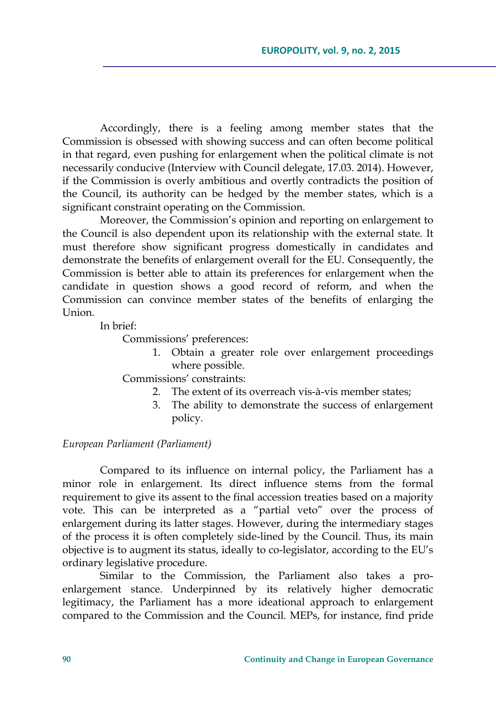Accordingly, there is a feeling among member states that the Commission is obsessed with showing success and can often become political in that regard, even pushing for enlargement when the political climate is not necessarily conducive (Interview with Council delegate, 17.03. 2014). However, if the Commission is overly ambitious and overtly contradicts the position of the Council, its authority can be hedged by the member states, which is a significant constraint operating on the Commission.

Moreover, the Commission's opinion and reporting on enlargement to the Council is also dependent upon its relationship with the external state. It must therefore show significant progress domestically in candidates and demonstrate the benefits of enlargement overall for the EU. Consequently, the Commission is better able to attain its preferences for enlargement when the candidate in question shows a good record of reform, and when the Commission can convince member states of the benefits of enlarging the Union.

In brief:

Commissions' preferences:

1. Obtain a greater role over enlargement proceedings where possible.

Commissions' constraints:

- 2. The extent of its overreach vis-à-vis member states;
- 3. The ability to demonstrate the success of enlargement policy.

### *European Parliament (Parliament)*

Compared to its influence on internal policy, the Parliament has a minor role in enlargement. Its direct influence stems from the formal requirement to give its assent to the final accession treaties based on a majority vote. This can be interpreted as a "partial veto" over the process of enlargement during its latter stages. However, during the intermediary stages of the process it is often completely side-lined by the Council. Thus, its main objective is to augment its status, ideally to co-legislator, according to the EU's ordinary legislative procedure.

Similar to the Commission, the Parliament also takes a proenlargement stance. Underpinned by its relatively higher democratic legitimacy, the Parliament has a more ideational approach to enlargement compared to the Commission and the Council. MEPs, for instance, find pride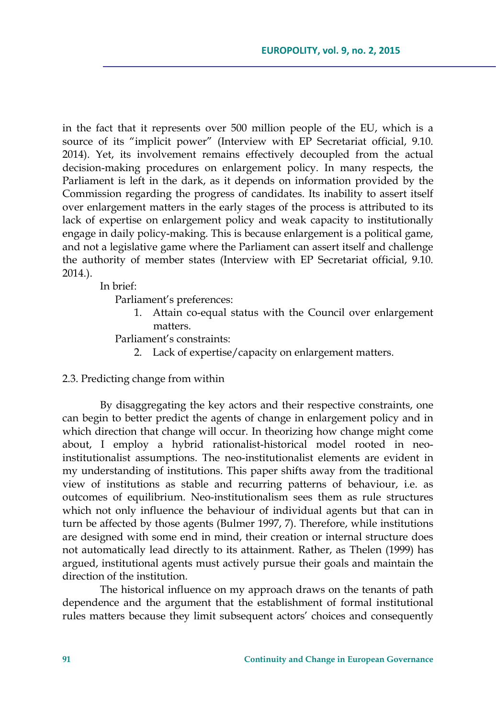in the fact that it represents over 500 million people of the EU, which is a source of its "implicit power" (Interview with EP Secretariat official, 9.10. 2014). Yet, its involvement remains effectively decoupled from the actual decision-making procedures on enlargement policy. In many respects, the Parliament is left in the dark, as it depends on information provided by the Commission regarding the progress of candidates. Its inability to assert itself over enlargement matters in the early stages of the process is attributed to its lack of expertise on enlargement policy and weak capacity to institutionally engage in daily policy-making. This is because enlargement is a political game, and not a legislative game where the Parliament can assert itself and challenge the authority of member states (Interview with EP Secretariat official, 9.10. 2014.).

In brief:

Parliament's preferences:

- 1. Attain co-equal status with the Council over enlargement matters.
- Parliament's constraints:
	- 2. Lack of expertise/capacity on enlargement matters.

### 2.3. Predicting change from within

By disaggregating the key actors and their respective constraints, one can begin to better predict the agents of change in enlargement policy and in which direction that change will occur. In theorizing how change might come about, I employ a hybrid rationalist-historical model rooted in neoinstitutionalist assumptions. The neo-institutionalist elements are evident in my understanding of institutions. This paper shifts away from the traditional view of institutions as stable and recurring patterns of behaviour, i.e. as outcomes of equilibrium. Neo-institutionalism sees them as rule structures which not only influence the behaviour of individual agents but that can in turn be affected by those agents (Bulmer 1997, 7). Therefore, while institutions are designed with some end in mind, their creation or internal structure does not automatically lead directly to its attainment. Rather, as Thelen (1999) has argued, institutional agents must actively pursue their goals and maintain the direction of the institution.

The historical influence on my approach draws on the tenants of path dependence and the argument that the establishment of formal institutional rules matters because they limit subsequent actors' choices and consequently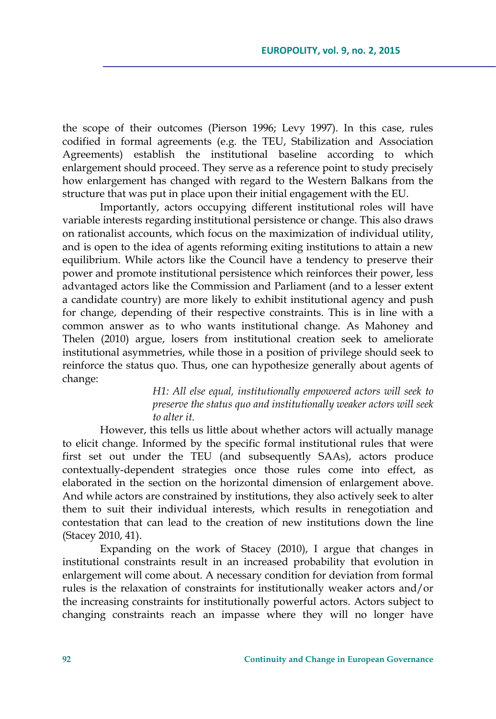the scope of their outcomes (Pierson 1996; Levy 1997). In this case, rules codified in formal agreements (e.g. the TEU, Stabilization and Association Agreements) establish the institutional baseline according to which enlargement should proceed. They serve as a reference point to study precisely how enlargement has changed with regard to the Western Balkans from the structure that was put in place upon their initial engagement with the EU.

Importantly, actors occupying different institutional roles will have variable interests regarding institutional persistence or change. This also draws on rationalist accounts, which focus on the maximization of individual utility, and is open to the idea of agents reforming exiting institutions to attain a new equilibrium. While actors like the Council have a tendency to preserve their power and promote institutional persistence which reinforces their power, less advantaged actors like the Commission and Parliament (and to a lesser extent a candidate country) are more likely to exhibit institutional agency and push for change, depending of their respective constraints. This is in line with a common answer as to who wants institutional change. As Mahoney and Thelen (2010) argue, losers from institutional creation seek to ameliorate institutional asymmetries, while those in a position of privilege should seek to reinforce the status quo. Thus, one can hypothesize generally about agents of change:

> *H1: All else equal, institutionally empowered actors will seek to preserve the status quo and institutionally weaker actors will seek to alter it.*

However, this tells us little about whether actors will actually manage to elicit change. Informed by the specific formal institutional rules that were first set out under the TEU (and subsequently SAAs), actors produce contextually-dependent strategies once those rules come into effect, as elaborated in the section on the horizontal dimension of enlargement above. And while actors are constrained by institutions, they also actively seek to alter them to suit their individual interests, which results in renegotiation and contestation that can lead to the creation of new institutions down the line (Stacey 2010, 41).

Expanding on the work of Stacey (2010), I argue that changes in institutional constraints result in an increased probability that evolution in enlargement will come about. A necessary condition for deviation from formal rules is the relaxation of constraints for institutionally weaker actors and/or the increasing constraints for institutionally powerful actors. Actors subject to changing constraints reach an impasse where they will no longer have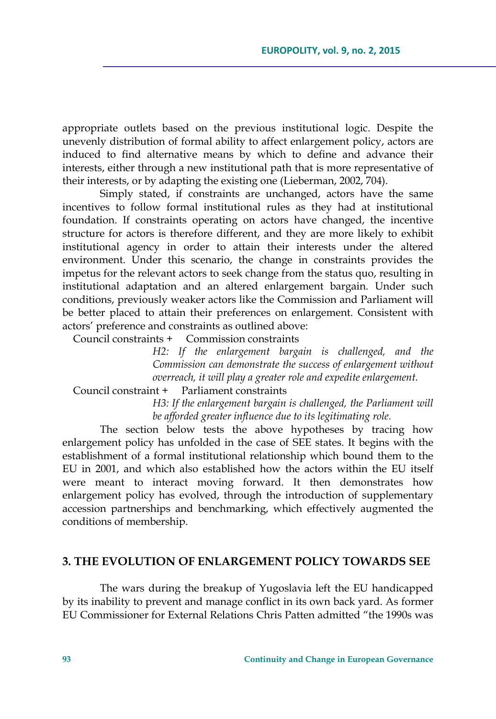appropriate outlets based on the previous institutional logic. Despite the unevenly distribution of formal ability to affect enlargement policy, actors are induced to find alternative means by which to define and advance their interests, either through a new institutional path that is more representative of their interests, or by adapting the existing one (Lieberman, 2002, 704).

Simply stated, if constraints are unchanged, actors have the same incentives to follow formal institutional rules as they had at institutional foundation. If constraints operating on actors have changed, the incentive structure for actors is therefore different, and they are more likely to exhibit institutional agency in order to attain their interests under the altered environment. Under this scenario, the change in constraints provides the impetus for the relevant actors to seek change from the status quo, resulting in institutional adaptation and an altered enlargement bargain. Under such conditions, previously weaker actors like the Commission and Parliament will be better placed to attain their preferences on enlargement. Consistent with actors' preference and constraints as outlined above:

Council constraints + Commission constraints

*H2: If the enlargement bargain is challenged, and the Commission can demonstrate the success of enlargement without overreach, it will play a greater role and expedite enlargement.* 

Council constraint + Parliament constraints

*H3: If the enlargement bargain is challenged, the Parliament will be afforded greater influence due to its legitimating role.* 

The section below tests the above hypotheses by tracing how enlargement policy has unfolded in the case of SEE states. It begins with the establishment of a formal institutional relationship which bound them to the EU in 2001, and which also established how the actors within the EU itself were meant to interact moving forward. It then demonstrates how enlargement policy has evolved, through the introduction of supplementary accession partnerships and benchmarking, which effectively augmented the conditions of membership.

## **3. THE EVOLUTION OF ENLARGEMENT POLICY TOWARDS SEE**

The wars during the breakup of Yugoslavia left the EU handicapped by its inability to prevent and manage conflict in its own back yard. As former EU Commissioner for External Relations Chris Patten admitted "the 1990s was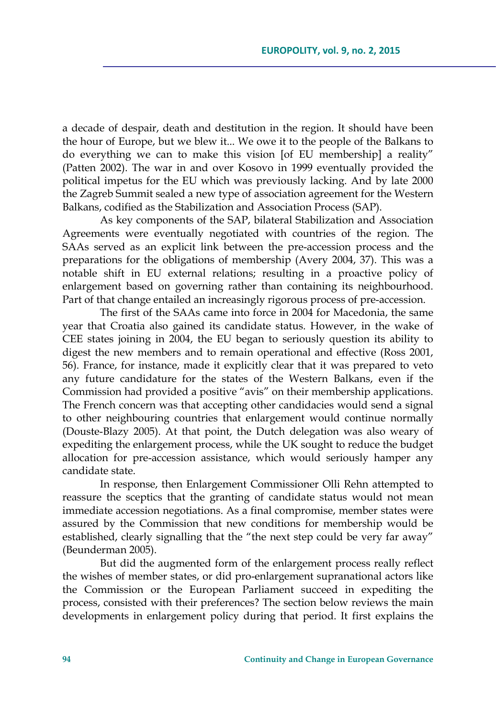a decade of despair, death and destitution in the region. It should have been the hour of Europe, but we blew it... We owe it to the people of the Balkans to do everything we can to make this vision [of EU membership] a reality" (Patten 2002). The war in and over Kosovo in 1999 eventually provided the political impetus for the EU which was previously lacking. And by late 2000 the Zagreb Summit sealed a new type of association agreement for the Western Balkans, codified as the Stabilization and Association Process (SAP).

As key components of the SAP, bilateral Stabilization and Association Agreements were eventually negotiated with countries of the region. The SAAs served as an explicit link between the pre-accession process and the preparations for the obligations of membership (Avery 2004, 37). This was a notable shift in EU external relations; resulting in a proactive policy of enlargement based on governing rather than containing its neighbourhood. Part of that change entailed an increasingly rigorous process of pre-accession.

The first of the SAAs came into force in 2004 for Macedonia, the same year that Croatia also gained its candidate status. However, in the wake of CEE states joining in 2004, the EU began to seriously question its ability to digest the new members and to remain operational and effective (Ross 2001, 56). France, for instance, made it explicitly clear that it was prepared to veto any future candidature for the states of the Western Balkans, even if the Commission had provided a positive "avis" on their membership applications. The French concern was that accepting other candidacies would send a signal to other neighbouring countries that enlargement would continue normally (Douste-Blazy 2005). At that point, the Dutch delegation was also weary of expediting the enlargement process, while the UK sought to reduce the budget allocation for pre-accession assistance, which would seriously hamper any candidate state.

In response, then Enlargement Commissioner Olli Rehn attempted to reassure the sceptics that the granting of candidate status would not mean immediate accession negotiations. As a final compromise, member states were assured by the Commission that new conditions for membership would be established, clearly signalling that the "the next step could be very far away" (Beunderman 2005).

But did the augmented form of the enlargement process really reflect the wishes of member states, or did pro-enlargement supranational actors like the Commission or the European Parliament succeed in expediting the process, consisted with their preferences? The section below reviews the main developments in enlargement policy during that period. It first explains the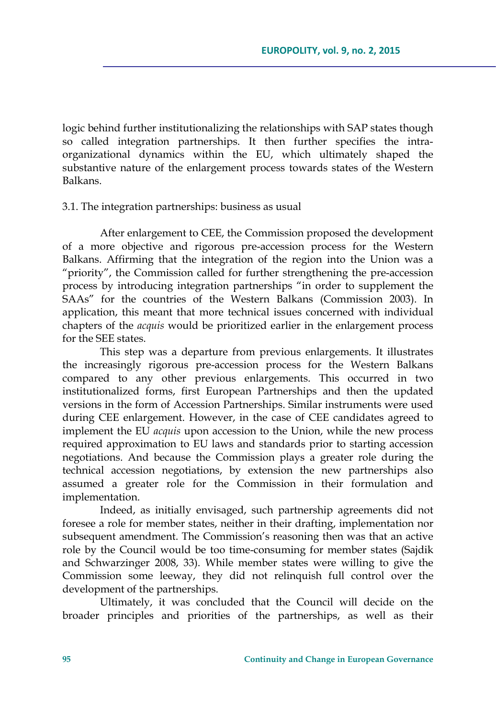logic behind further institutionalizing the relationships with SAP states though so called integration partnerships. It then further specifies the intraorganizational dynamics within the EU, which ultimately shaped the substantive nature of the enlargement process towards states of the Western Balkans.

# 3.1. The integration partnerships: business as usual

After enlargement to CEE, the Commission proposed the development of a more objective and rigorous pre-accession process for the Western Balkans. Affirming that the integration of the region into the Union was a "priority", the Commission called for further strengthening the pre-accession process by introducing integration partnerships "in order to supplement the SAAs" for the countries of the Western Balkans (Commission 2003). In application, this meant that more technical issues concerned with individual chapters of the *acquis* would be prioritized earlier in the enlargement process for the SEE states.

This step was a departure from previous enlargements. It illustrates the increasingly rigorous pre-accession process for the Western Balkans compared to any other previous enlargements. This occurred in two institutionalized forms, first European Partnerships and then the updated versions in the form of Accession Partnerships. Similar instruments were used during CEE enlargement. However, in the case of CEE candidates agreed to implement the EU *acquis* upon accession to the Union, while the new process required approximation to EU laws and standards prior to starting accession negotiations. And because the Commission plays a greater role during the technical accession negotiations, by extension the new partnerships also assumed a greater role for the Commission in their formulation and implementation.

Indeed, as initially envisaged, such partnership agreements did not foresee a role for member states, neither in their drafting, implementation nor subsequent amendment. The Commission's reasoning then was that an active role by the Council would be too time-consuming for member states (Sajdik and Schwarzinger 2008, 33). While member states were willing to give the Commission some leeway, they did not relinquish full control over the development of the partnerships.

Ultimately, it was concluded that the Council will decide on the broader principles and priorities of the partnerships, as well as their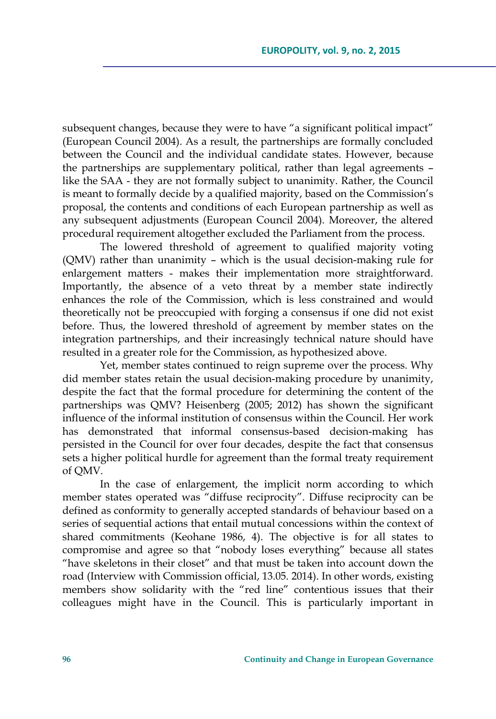subsequent changes, because they were to have "a significant political impact" (European Council 2004). As a result, the partnerships are formally concluded between the Council and the individual candidate states. However, because the partnerships are supplementary political, rather than legal agreements – like the SAA - they are not formally subject to unanimity. Rather, the Council is meant to formally decide by a qualified majority, based on the Commission's proposal, the contents and conditions of each European partnership as well as any subsequent adjustments (European Council 2004). Moreover, the altered procedural requirement altogether excluded the Parliament from the process.

The lowered threshold of agreement to qualified majority voting (QMV) rather than unanimity – which is the usual decision-making rule for enlargement matters - makes their implementation more straightforward. Importantly, the absence of a veto threat by a member state indirectly enhances the role of the Commission, which is less constrained and would theoretically not be preoccupied with forging a consensus if one did not exist before. Thus, the lowered threshold of agreement by member states on the integration partnerships, and their increasingly technical nature should have resulted in a greater role for the Commission, as hypothesized above.

Yet, member states continued to reign supreme over the process. Why did member states retain the usual decision-making procedure by unanimity, despite the fact that the formal procedure for determining the content of the partnerships was QMV? Heisenberg (2005; 2012) has shown the significant influence of the informal institution of consensus within the Council. Her work has demonstrated that informal consensus-based decision-making has persisted in the Council for over four decades, despite the fact that consensus sets a higher political hurdle for agreement than the formal treaty requirement of QMV.

In the case of enlargement, the implicit norm according to which member states operated was "diffuse reciprocity". Diffuse reciprocity can be defined as conformity to generally accepted standards of behaviour based on a series of sequential actions that entail mutual concessions within the context of shared commitments (Keohane 1986, 4). The objective is for all states to compromise and agree so that "nobody loses everything" because all states "have skeletons in their closet" and that must be taken into account down the road (Interview with Commission official, 13.05. 2014). In other words, existing members show solidarity with the "red line" contentious issues that their colleagues might have in the Council. This is particularly important in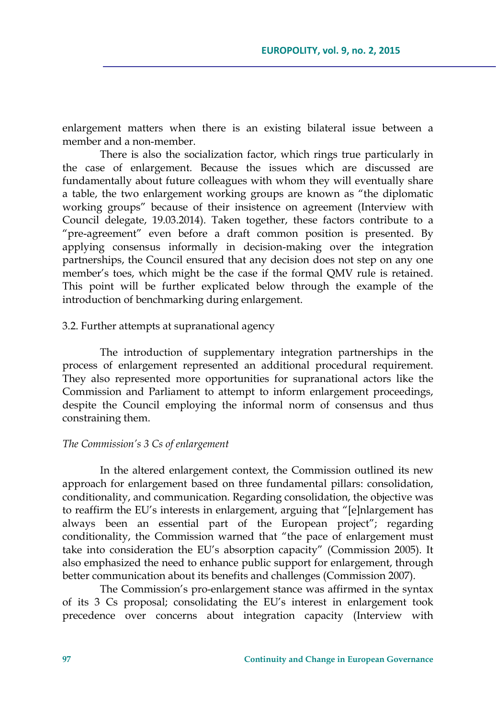enlargement matters when there is an existing bilateral issue between a member and a non-member.

There is also the socialization factor, which rings true particularly in the case of enlargement. Because the issues which are discussed are fundamentally about future colleagues with whom they will eventually share a table, the two enlargement working groups are known as "the diplomatic working groups" because of their insistence on agreement (Interview with Council delegate, 19.03.2014). Taken together, these factors contribute to a "pre-agreement" even before a draft common position is presented. By applying consensus informally in decision-making over the integration partnerships, the Council ensured that any decision does not step on any one member's toes, which might be the case if the formal QMV rule is retained. This point will be further explicated below through the example of the introduction of benchmarking during enlargement.

### 3.2. Further attempts at supranational agency

The introduction of supplementary integration partnerships in the process of enlargement represented an additional procedural requirement. They also represented more opportunities for supranational actors like the Commission and Parliament to attempt to inform enlargement proceedings, despite the Council employing the informal norm of consensus and thus constraining them.

#### *The Commission's 3 Cs of enlargement*

In the altered enlargement context, the Commission outlined its new approach for enlargement based on three fundamental pillars: consolidation, conditionality, and communication. Regarding consolidation, the objective was to reaffirm the EU's interests in enlargement, arguing that "[e]nlargement has always been an essential part of the European project"; regarding conditionality, the Commission warned that "the pace of enlargement must take into consideration the EU's absorption capacity" (Commission 2005). It also emphasized the need to enhance public support for enlargement, through better communication about its benefits and challenges (Commission 2007).

The Commission's pro-enlargement stance was affirmed in the syntax of its 3 Cs proposal; consolidating the EU's interest in enlargement took precedence over concerns about integration capacity (Interview with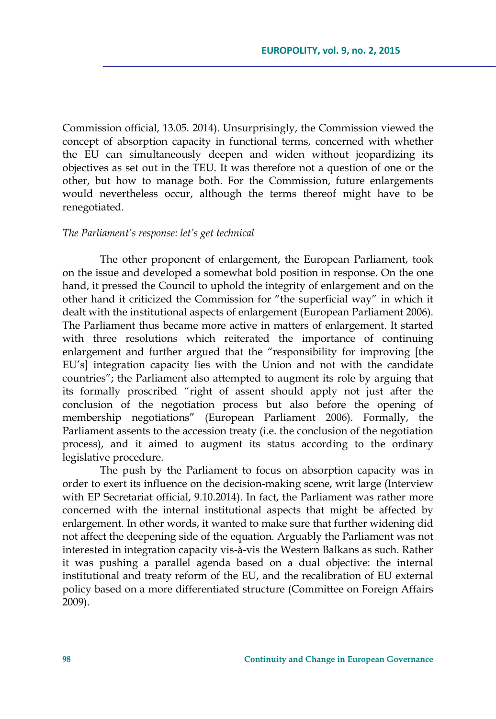Commission official, 13.05. 2014). Unsurprisingly, the Commission viewed the concept of absorption capacity in functional terms, concerned with whether the EU can simultaneously deepen and widen without jeopardizing its objectives as set out in the TEU. It was therefore not a question of one or the other, but how to manage both. For the Commission, future enlargements would nevertheless occur, although the terms thereof might have to be renegotiated.

### *The Parliament's response: let's get technical*

The other proponent of enlargement, the European Parliament, took on the issue and developed a somewhat bold position in response. On the one hand, it pressed the Council to uphold the integrity of enlargement and on the other hand it criticized the Commission for "the superficial way" in which it dealt with the institutional aspects of enlargement (European Parliament 2006). The Parliament thus became more active in matters of enlargement. It started with three resolutions which reiterated the importance of continuing enlargement and further argued that the "responsibility for improving [the EU's] integration capacity lies with the Union and not with the candidate countries"; the Parliament also attempted to augment its role by arguing that its formally proscribed "right of assent should apply not just after the conclusion of the negotiation process but also before the opening of membership negotiations" (European Parliament 2006). Formally, the Parliament assents to the accession treaty (i.e. the conclusion of the negotiation process), and it aimed to augment its status according to the ordinary legislative procedure.

The push by the Parliament to focus on absorption capacity was in order to exert its influence on the decision-making scene, writ large (Interview with EP Secretariat official, 9.10.2014). In fact, the Parliament was rather more concerned with the internal institutional aspects that might be affected by enlargement. In other words, it wanted to make sure that further widening did not affect the deepening side of the equation. Arguably the Parliament was not interested in integration capacity vis-à-vis the Western Balkans as such. Rather it was pushing a parallel agenda based on a dual objective: the internal institutional and treaty reform of the EU, and the recalibration of EU external policy based on a more differentiated structure (Committee on Foreign Affairs 2009).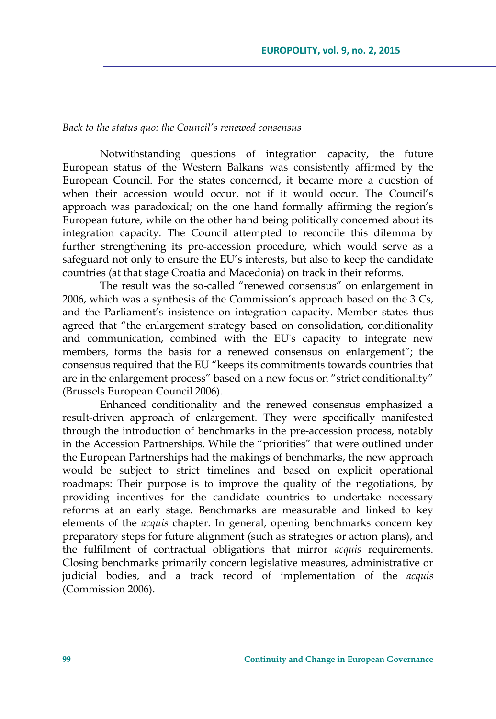### *Back to the status quo: the Council's renewed consensus*

Notwithstanding questions of integration capacity, the future European status of the Western Balkans was consistently affirmed by the European Council. For the states concerned, it became more a question of when their accession would occur, not if it would occur. The Council's approach was paradoxical; on the one hand formally affirming the region's European future, while on the other hand being politically concerned about its integration capacity. The Council attempted to reconcile this dilemma by further strengthening its pre-accession procedure, which would serve as a safeguard not only to ensure the EU's interests, but also to keep the candidate countries (at that stage Croatia and Macedonia) on track in their reforms.

The result was the so-called "renewed consensus" on enlargement in 2006, which was a synthesis of the Commission's approach based on the 3 Cs, and the Parliament's insistence on integration capacity. Member states thus agreed that "the enlargement strategy based on consolidation, conditionality and communication, combined with the EU's capacity to integrate new members, forms the basis for a renewed consensus on enlargement"; the consensus required that the EU "keeps its commitments towards countries that are in the enlargement process" based on a new focus on "strict conditionality" (Brussels European Council 2006).

Enhanced conditionality and the renewed consensus emphasized a result-driven approach of enlargement. They were specifically manifested through the introduction of benchmarks in the pre-accession process, notably in the Accession Partnerships. While the "priorities" that were outlined under the European Partnerships had the makings of benchmarks, the new approach would be subject to strict timelines and based on explicit operational roadmaps: Their purpose is to improve the quality of the negotiations, by providing incentives for the candidate countries to undertake necessary reforms at an early stage. Benchmarks are measurable and linked to key elements of the *acquis* chapter. In general, opening benchmarks concern key preparatory steps for future alignment (such as strategies or action plans), and the fulfilment of contractual obligations that mirror *acquis* requirements. Closing benchmarks primarily concern legislative measures, administrative or judicial bodies, and a track record of implementation of the *acquis* (Commission 2006).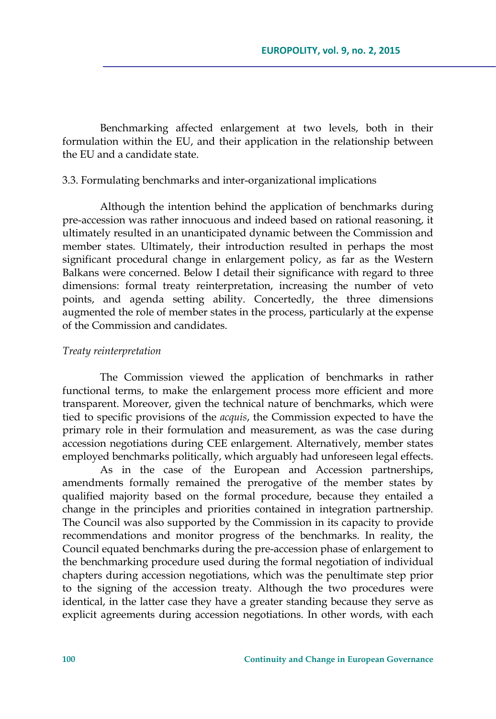Benchmarking affected enlargement at two levels, both in their formulation within the EU, and their application in the relationship between the EU and a candidate state.

### 3.3. Formulating benchmarks and inter-organizational implications

Although the intention behind the application of benchmarks during pre-accession was rather innocuous and indeed based on rational reasoning, it ultimately resulted in an unanticipated dynamic between the Commission and member states. Ultimately, their introduction resulted in perhaps the most significant procedural change in enlargement policy, as far as the Western Balkans were concerned. Below I detail their significance with regard to three dimensions: formal treaty reinterpretation, increasing the number of veto points, and agenda setting ability. Concertedly, the three dimensions augmented the role of member states in the process, particularly at the expense of the Commission and candidates.

#### *Treaty reinterpretation*

The Commission viewed the application of benchmarks in rather functional terms, to make the enlargement process more efficient and more transparent. Moreover, given the technical nature of benchmarks, which were tied to specific provisions of the *acquis*, the Commission expected to have the primary role in their formulation and measurement, as was the case during accession negotiations during CEE enlargement. Alternatively, member states employed benchmarks politically, which arguably had unforeseen legal effects.

As in the case of the European and Accession partnerships, amendments formally remained the prerogative of the member states by qualified majority based on the formal procedure, because they entailed a change in the principles and priorities contained in integration partnership. The Council was also supported by the Commission in its capacity to provide recommendations and monitor progress of the benchmarks. In reality, the Council equated benchmarks during the pre-accession phase of enlargement to the benchmarking procedure used during the formal negotiation of individual chapters during accession negotiations, which was the penultimate step prior to the signing of the accession treaty. Although the two procedures were identical, in the latter case they have a greater standing because they serve as explicit agreements during accession negotiations. In other words, with each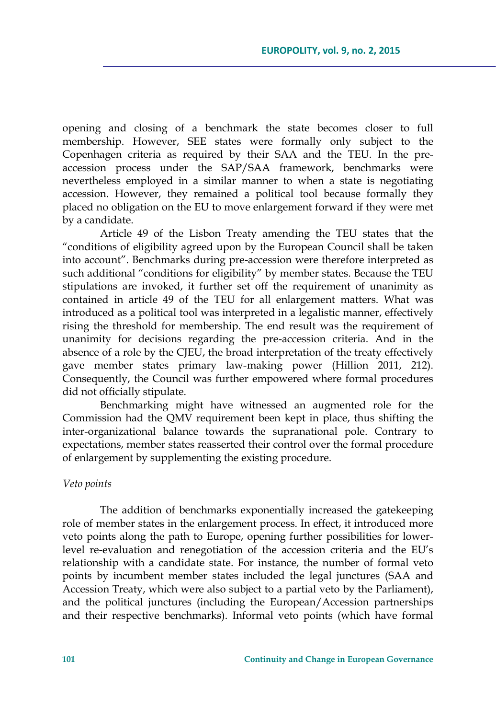opening and closing of a benchmark the state becomes closer to full membership. However, SEE states were formally only subject to the Copenhagen criteria as required by their SAA and the TEU. In the preaccession process under the SAP/SAA framework, benchmarks were nevertheless employed in a similar manner to when a state is negotiating accession. However, they remained a political tool because formally they placed no obligation on the EU to move enlargement forward if they were met by a candidate.

Article 49 of the Lisbon Treaty amending the TEU states that the "conditions of eligibility agreed upon by the European Council shall be taken into account". Benchmarks during pre-accession were therefore interpreted as such additional "conditions for eligibility" by member states. Because the TEU stipulations are invoked, it further set off the requirement of unanimity as contained in article 49 of the TEU for all enlargement matters. What was introduced as a political tool was interpreted in a legalistic manner, effectively rising the threshold for membership. The end result was the requirement of unanimity for decisions regarding the pre-accession criteria. And in the absence of a role by the CJEU, the broad interpretation of the treaty effectively gave member states primary law-making power (Hillion 2011, 212). Consequently, the Council was further empowered where formal procedures did not officially stipulate.

Benchmarking might have witnessed an augmented role for the Commission had the QMV requirement been kept in place, thus shifting the inter-organizational balance towards the supranational pole. Contrary to expectations, member states reasserted their control over the formal procedure of enlargement by supplementing the existing procedure.

### *Veto points*

The addition of benchmarks exponentially increased the gatekeeping role of member states in the enlargement process. In effect, it introduced more veto points along the path to Europe, opening further possibilities for lowerlevel re-evaluation and renegotiation of the accession criteria and the EU's relationship with a candidate state. For instance, the number of formal veto points by incumbent member states included the legal junctures (SAA and Accession Treaty, which were also subject to a partial veto by the Parliament), and the political junctures (including the European/Accession partnerships and their respective benchmarks). Informal veto points (which have formal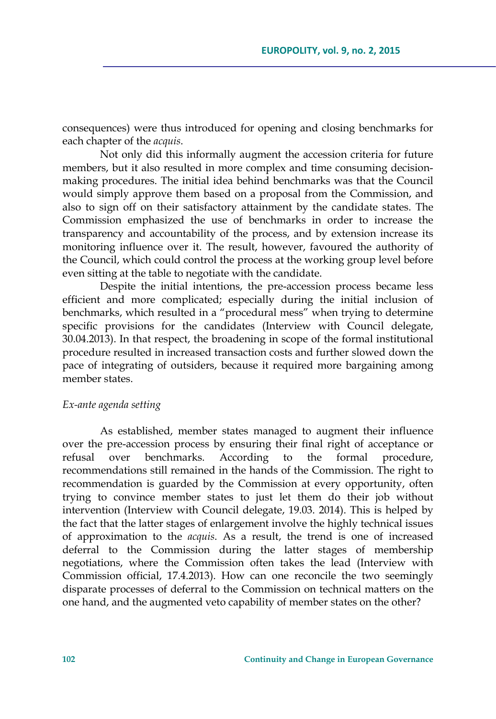consequences) were thus introduced for opening and closing benchmarks for each chapter of the *acquis*.

Not only did this informally augment the accession criteria for future members, but it also resulted in more complex and time consuming decisionmaking procedures. The initial idea behind benchmarks was that the Council would simply approve them based on a proposal from the Commission, and also to sign off on their satisfactory attainment by the candidate states. The Commission emphasized the use of benchmarks in order to increase the transparency and accountability of the process, and by extension increase its monitoring influence over it. The result, however, favoured the authority of the Council, which could control the process at the working group level before even sitting at the table to negotiate with the candidate.

Despite the initial intentions, the pre-accession process became less efficient and more complicated; especially during the initial inclusion of benchmarks, which resulted in a "procedural mess" when trying to determine specific provisions for the candidates (Interview with Council delegate, 30.04.2013). In that respect, the broadening in scope of the formal institutional procedure resulted in increased transaction costs and further slowed down the pace of integrating of outsiders, because it required more bargaining among member states.

### *Ex-ante agenda setting*

As established, member states managed to augment their influence over the pre-accession process by ensuring their final right of acceptance or refusal over benchmarks. According to the formal procedure, recommendations still remained in the hands of the Commission. The right to recommendation is guarded by the Commission at every opportunity, often trying to convince member states to just let them do their job without intervention (Interview with Council delegate, 19.03. 2014). This is helped by the fact that the latter stages of enlargement involve the highly technical issues of approximation to the *acquis*. As a result, the trend is one of increased deferral to the Commission during the latter stages of membership negotiations, where the Commission often takes the lead (Interview with Commission official, 17.4.2013). How can one reconcile the two seemingly disparate processes of deferral to the Commission on technical matters on the one hand, and the augmented veto capability of member states on the other?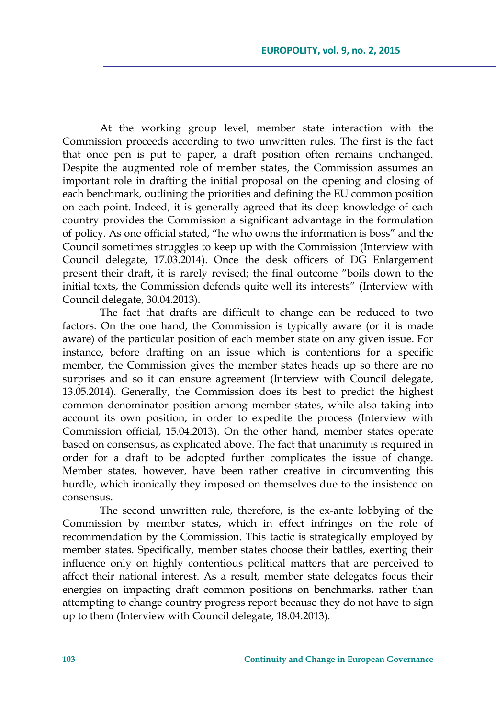At the working group level, member state interaction with the Commission proceeds according to two unwritten rules. The first is the fact that once pen is put to paper, a draft position often remains unchanged. Despite the augmented role of member states, the Commission assumes an important role in drafting the initial proposal on the opening and closing of each benchmark, outlining the priorities and defining the EU common position on each point. Indeed, it is generally agreed that its deep knowledge of each country provides the Commission a significant advantage in the formulation of policy. As one official stated, "he who owns the information is boss" and the Council sometimes struggles to keep up with the Commission (Interview with Council delegate, 17.03.2014). Once the desk officers of DG Enlargement present their draft, it is rarely revised; the final outcome "boils down to the initial texts, the Commission defends quite well its interests" (Interview with Council delegate, 30.04.2013).

The fact that drafts are difficult to change can be reduced to two factors. On the one hand, the Commission is typically aware (or it is made aware) of the particular position of each member state on any given issue. For instance, before drafting on an issue which is contentions for a specific member, the Commission gives the member states heads up so there are no surprises and so it can ensure agreement (Interview with Council delegate, 13.05.2014). Generally, the Commission does its best to predict the highest common denominator position among member states, while also taking into account its own position, in order to expedite the process (Interview with Commission official, 15.04.2013). On the other hand, member states operate based on consensus, as explicated above. The fact that unanimity is required in order for a draft to be adopted further complicates the issue of change. Member states, however, have been rather creative in circumventing this hurdle, which ironically they imposed on themselves due to the insistence on consensus.

The second unwritten rule, therefore, is the ex-ante lobbying of the Commission by member states, which in effect infringes on the role of recommendation by the Commission. This tactic is strategically employed by member states. Specifically, member states choose their battles, exerting their influence only on highly contentious political matters that are perceived to affect their national interest. As a result, member state delegates focus their energies on impacting draft common positions on benchmarks, rather than attempting to change country progress report because they do not have to sign up to them (Interview with Council delegate, 18.04.2013).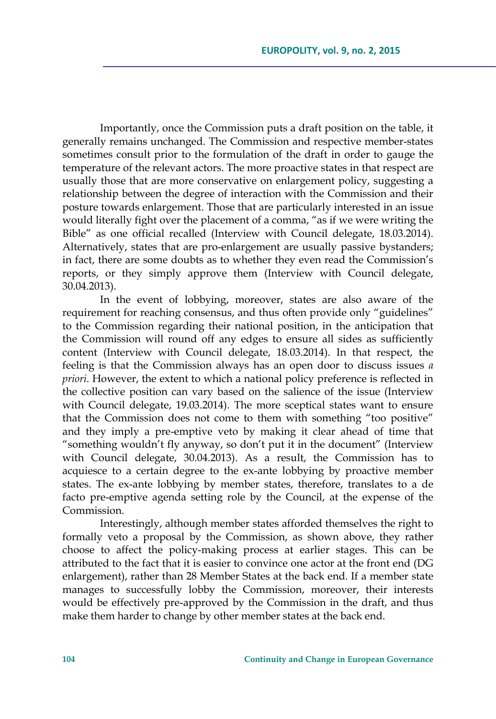Importantly, once the Commission puts a draft position on the table, it generally remains unchanged. The Commission and respective member-states sometimes consult prior to the formulation of the draft in order to gauge the temperature of the relevant actors. The more proactive states in that respect are usually those that are more conservative on enlargement policy, suggesting a relationship between the degree of interaction with the Commission and their posture towards enlargement. Those that are particularly interested in an issue would literally fight over the placement of a comma, "as if we were writing the Bible" as one official recalled (Interview with Council delegate, 18.03.2014). Alternatively, states that are pro-enlargement are usually passive bystanders; in fact, there are some doubts as to whether they even read the Commission's reports, or they simply approve them (Interview with Council delegate, 30.04.2013).

In the event of lobbying, moreover, states are also aware of the requirement for reaching consensus, and thus often provide only "guidelines" to the Commission regarding their national position, in the anticipation that the Commission will round off any edges to ensure all sides as sufficiently content (Interview with Council delegate, 18.03.2014). In that respect, the feeling is that the Commission always has an open door to discuss issues *a priori*. However, the extent to which a national policy preference is reflected in the collective position can vary based on the salience of the issue (Interview with Council delegate, 19.03.2014). The more sceptical states want to ensure that the Commission does not come to them with something "too positive" and they imply a pre-emptive veto by making it clear ahead of time that "something wouldn't fly anyway, so don't put it in the document" (Interview with Council delegate, 30.04.2013). As a result, the Commission has to acquiesce to a certain degree to the ex-ante lobbying by proactive member states. The ex-ante lobbying by member states, therefore, translates to a de facto pre-emptive agenda setting role by the Council, at the expense of the Commission.

Interestingly, although member states afforded themselves the right to formally veto a proposal by the Commission, as shown above, they rather choose to affect the policy-making process at earlier stages. This can be attributed to the fact that it is easier to convince one actor at the front end (DG enlargement), rather than 28 Member States at the back end. If a member state manages to successfully lobby the Commission, moreover, their interests would be effectively pre-approved by the Commission in the draft, and thus make them harder to change by other member states at the back end.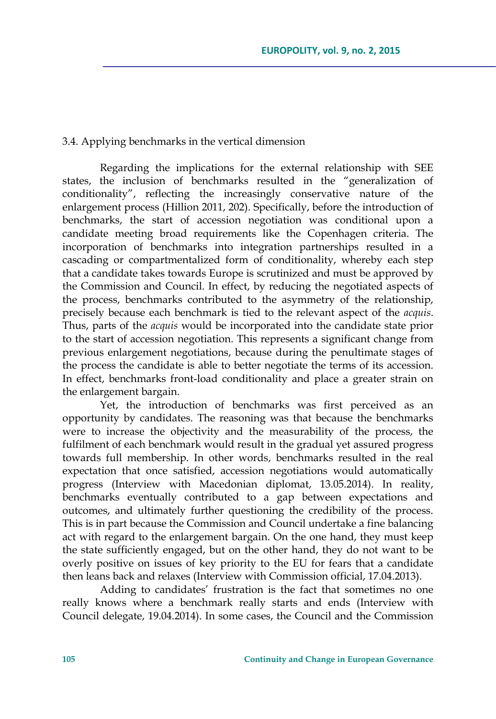# 3.4. Applying benchmarks in the vertical dimension

Regarding the implications for the external relationship with SEE states, the inclusion of benchmarks resulted in the "generalization of conditionality", reflecting the increasingly conservative nature of the enlargement process (Hillion 2011, 202). Specifically, before the introduction of benchmarks, the start of accession negotiation was conditional upon a candidate meeting broad requirements like the Copenhagen criteria. The incorporation of benchmarks into integration partnerships resulted in a cascading or compartmentalized form of conditionality, whereby each step that a candidate takes towards Europe is scrutinized and must be approved by the Commission and Council. In effect, by reducing the negotiated aspects of the process, benchmarks contributed to the asymmetry of the relationship, precisely because each benchmark is tied to the relevant aspect of the *acquis*. Thus, parts of the *acquis* would be incorporated into the candidate state prior to the start of accession negotiation. This represents a significant change from previous enlargement negotiations, because during the penultimate stages of the process the candidate is able to better negotiate the terms of its accession. In effect, benchmarks front-load conditionality and place a greater strain on the enlargement bargain.

Yet, the introduction of benchmarks was first perceived as an opportunity by candidates. The reasoning was that because the benchmarks were to increase the objectivity and the measurability of the process, the fulfilment of each benchmark would result in the gradual yet assured progress towards full membership. In other words, benchmarks resulted in the real expectation that once satisfied, accession negotiations would automatically progress (Interview with Macedonian diplomat, 13.05.2014). In reality, benchmarks eventually contributed to a gap between expectations and outcomes, and ultimately further questioning the credibility of the process. This is in part because the Commission and Council undertake a fine balancing act with regard to the enlargement bargain. On the one hand, they must keep the state sufficiently engaged, but on the other hand, they do not want to be overly positive on issues of key priority to the EU for fears that a candidate then leans back and relaxes (Interview with Commission official, 17.04.2013).

Adding to candidates' frustration is the fact that sometimes no one really knows where a benchmark really starts and ends (Interview with Council delegate, 19.04.2014). In some cases, the Council and the Commission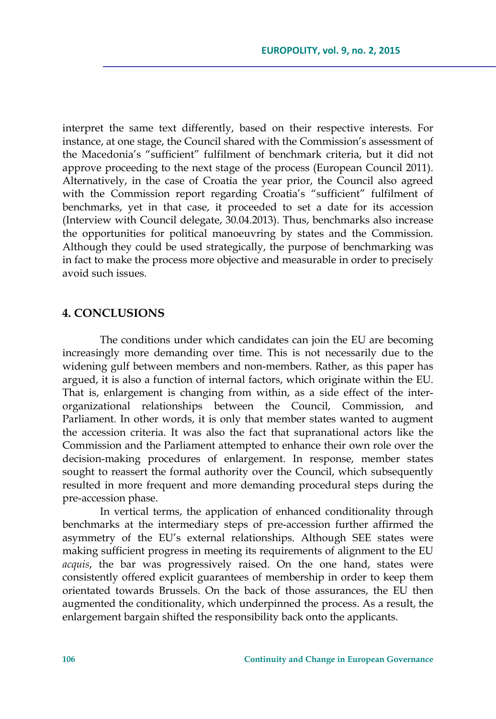interpret the same text differently, based on their respective interests. For instance, at one stage, the Council shared with the Commission's assessment of the Macedonia's "sufficient" fulfilment of benchmark criteria, but it did not approve proceeding to the next stage of the process (European Council 2011). Alternatively, in the case of Croatia the year prior, the Council also agreed with the Commission report regarding Croatia's "sufficient" fulfilment of benchmarks, yet in that case, it proceeded to set a date for its accession (Interview with Council delegate, 30.04.2013). Thus, benchmarks also increase the opportunities for political manoeuvring by states and the Commission. Although they could be used strategically, the purpose of benchmarking was in fact to make the process more objective and measurable in order to precisely avoid such issues.

# **4. CONCLUSIONS**

The conditions under which candidates can join the EU are becoming increasingly more demanding over time. This is not necessarily due to the widening gulf between members and non-members. Rather, as this paper has argued, it is also a function of internal factors, which originate within the EU. That is, enlargement is changing from within, as a side effect of the interorganizational relationships between the Council, Commission, and Parliament. In other words, it is only that member states wanted to augment the accession criteria. It was also the fact that supranational actors like the Commission and the Parliament attempted to enhance their own role over the decision-making procedures of enlargement. In response, member states sought to reassert the formal authority over the Council, which subsequently resulted in more frequent and more demanding procedural steps during the pre-accession phase.

In vertical terms, the application of enhanced conditionality through benchmarks at the intermediary steps of pre-accession further affirmed the asymmetry of the EU's external relationships. Although SEE states were making sufficient progress in meeting its requirements of alignment to the EU *acquis*, the bar was progressively raised. On the one hand, states were consistently offered explicit guarantees of membership in order to keep them orientated towards Brussels. On the back of those assurances, the EU then augmented the conditionality, which underpinned the process. As a result, the enlargement bargain shifted the responsibility back onto the applicants.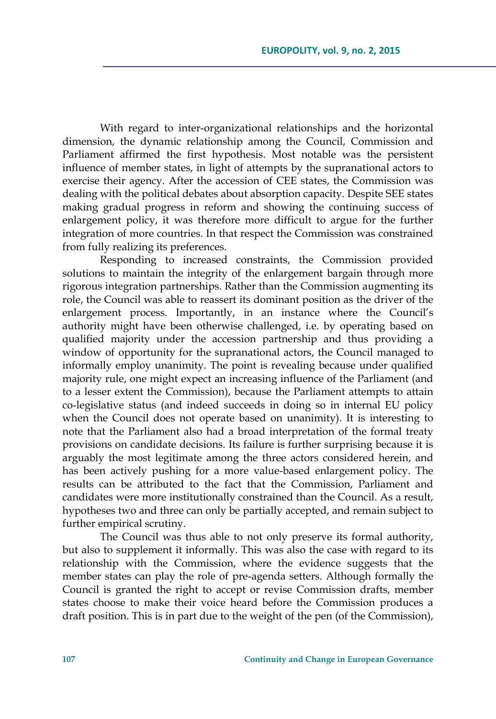With regard to inter-organizational relationships and the horizontal dimension, the dynamic relationship among the Council, Commission and Parliament affirmed the first hypothesis. Most notable was the persistent influence of member states, in light of attempts by the supranational actors to exercise their agency. After the accession of CEE states, the Commission was dealing with the political debates about absorption capacity. Despite SEE states making gradual progress in reform and showing the continuing success of enlargement policy, it was therefore more difficult to argue for the further integration of more countries. In that respect the Commission was constrained from fully realizing its preferences.

Responding to increased constraints, the Commission provided solutions to maintain the integrity of the enlargement bargain through more rigorous integration partnerships. Rather than the Commission augmenting its role, the Council was able to reassert its dominant position as the driver of the enlargement process. Importantly, in an instance where the Council's authority might have been otherwise challenged, i.e. by operating based on qualified majority under the accession partnership and thus providing a window of opportunity for the supranational actors, the Council managed to informally employ unanimity. The point is revealing because under qualified majority rule, one might expect an increasing influence of the Parliament (and to a lesser extent the Commission), because the Parliament attempts to attain co-legislative status (and indeed succeeds in doing so in internal EU policy when the Council does not operate based on unanimity). It is interesting to note that the Parliament also had a broad interpretation of the formal treaty provisions on candidate decisions. Its failure is further surprising because it is arguably the most legitimate among the three actors considered herein, and has been actively pushing for a more value-based enlargement policy. The results can be attributed to the fact that the Commission, Parliament and candidates were more institutionally constrained than the Council. As a result, hypotheses two and three can only be partially accepted, and remain subject to further empirical scrutiny.

The Council was thus able to not only preserve its formal authority, but also to supplement it informally. This was also the case with regard to its relationship with the Commission, where the evidence suggests that the member states can play the role of pre-agenda setters. Although formally the Council is granted the right to accept or revise Commission drafts, member states choose to make their voice heard before the Commission produces a draft position. This is in part due to the weight of the pen (of the Commission),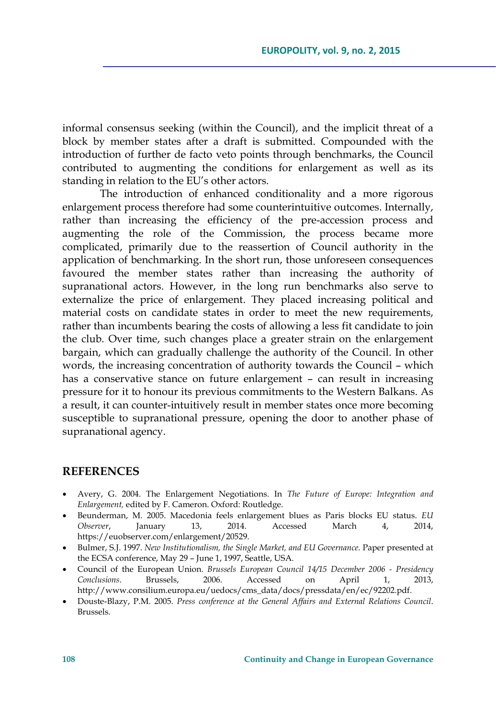informal consensus seeking (within the Council), and the implicit threat of a block by member states after a draft is submitted. Compounded with the introduction of further de facto veto points through benchmarks, the Council contributed to augmenting the conditions for enlargement as well as its standing in relation to the EU's other actors.

The introduction of enhanced conditionality and a more rigorous enlargement process therefore had some counterintuitive outcomes. Internally, rather than increasing the efficiency of the pre-accession process and augmenting the role of the Commission, the process became more complicated, primarily due to the reassertion of Council authority in the application of benchmarking. In the short run, those unforeseen consequences favoured the member states rather than increasing the authority of supranational actors. However, in the long run benchmarks also serve to externalize the price of enlargement. They placed increasing political and material costs on candidate states in order to meet the new requirements, rather than incumbents bearing the costs of allowing a less fit candidate to join the club. Over time, such changes place a greater strain on the enlargement bargain, which can gradually challenge the authority of the Council. In other words, the increasing concentration of authority towards the Council – which has a conservative stance on future enlargement – can result in increasing pressure for it to honour its previous commitments to the Western Balkans. As a result, it can counter-intuitively result in member states once more becoming susceptible to supranational pressure, opening the door to another phase of supranational agency.

### **REFERENCES**

- Avery, G. 2004. The Enlargement Negotiations. In *The Future of Europe: Integration and Enlargement,* edited by F. Cameron. Oxford: Routledge.
- Beunderman, M. 2005. Macedonia feels enlargement blues as Paris blocks EU status. *EU Observer*, January 13, 2014. Accessed March 4, 2014, https://euobserver.com/enlargement/20529.
- Bulmer, S.J. 1997. *New Institutionalism, the Single Market, and EU Governance*. Paper presented at the ECSA conference, May 29 – June 1, 1997, Seattle, USA.
- Council of the European Union. *Brussels European Council 14/15 December 2006 Presidency Conclusions*. Brussels, 2006. Accessed on April 1, 2013, http://www.consilium.europa.eu/uedocs/cms\_data/docs/pressdata/en/ec/92202.pdf.
- Douste-Blazy, P.M. 2005. *Press conference at the General Affairs and External Relations Council*. Brussels.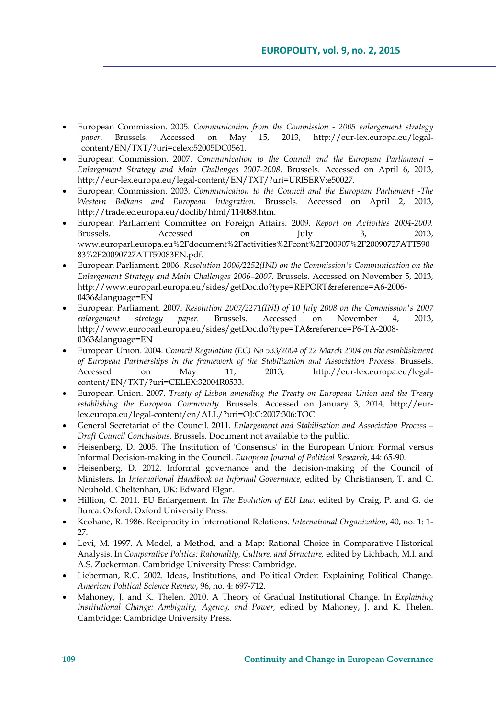- European Commission. 2005*. Communication from the Commission 2005 enlargement strategy paper*. Brussels. Accessed on May 15, 2013, http://eur-lex.europa.eu/legalcontent/EN/TXT/?uri=celex:52005DC0561.
- European Commission. 2007. *Communication to the Council and the European Parliament Enlargement Strategy and Main Challenges 2007-2008*. Brussels. Accessed on April 6, 2013, http://eur-lex.europa.eu/legal-content/EN/TXT/?uri=URISERV:e50027.
- European Commission. 2003. *Communication to the Council and the European Parliament -The Western Balkans and European Integration*. Brussels. Accessed on April 2, 2013, http://trade.ec.europa.eu/doclib/html/114088.htm.
- European Parliament Committee on Foreign Affairs. 2009. *Report on Activities 2004-2009.*  Brussels. Accessed on July 3, 2013, www.europarl.europa.eu%2Fdocument%2Factivities%2Fcont%2F200907%2F20090727ATT590 83%2F20090727ATT59083EN.pdf.
- European Parliament. 2006. *Resolution 2006/2252(INI) on the Commission's Communication on the Enlargement Strategy and Main Challenges 2006–2007*. Brussels. Accessed on November 5, 2013, http://www.europarl.europa.eu/sides/getDoc.do?type=REPORT&reference=A6-2006- 0436&language=EN
- European Parliament. 2007. *Resolution 2007/2271(INI) of 10 July 2008 on the Commission's 2007 enlargement strategy paper.* Brussels. Accessed on November 4, 2013, http://www.europarl.europa.eu/sides/getDoc.do?type=TA&reference=P6-TA-2008- 0363&language=EN
- European Union. 2004. *Council Regulation (EC) No 533/2004 of 22 March 2004 on the establishment of European Partnerships in the framework of the Stabilization and Association Process.* Brussels. Accessed on May 11, 2013, http://eur-lex.europa.eu/legalcontent/EN/TXT/?uri=CELEX:32004R0533.
- European Union. 2007. *Treaty of Lisbon amending the Treaty on European Union and the Treaty establishing the European Community*. Brussels. Accessed on January 3, 2014, http://eurlex.europa.eu/legal-content/en/ALL/?uri=OJ:C:2007:306:TOC
- General Secretariat of the Council. 2011. *Enlargement and Stabilisation and Association Process Draft Council Conclusions.* Brussels. Document not available to the public.
- Heisenberg, D. 2005. The Institution of 'Consensus' in the European Union: Formal versus Informal Decision-making in the Council. *European Journal of Political Research*, 44: 65-90.
- Heisenberg, D. 2012. Informal governance and the decision-making of the Council of Ministers. In *International Handbook on Informal Governance,* edited by Christiansen, T. and C. Neuhold. Cheltenhan, UK: Edward Elgar.
- Hillion, C. 2011. EU Enlargement. In *The Evolution of EU Law,* edited by Craig, P. and G. de Burca. Oxford: Oxford University Press.
- Keohane, R. 1986. Reciprocity in International Relations. *International Organization*, 40, no. 1: 1- 27.
- Levi, M. 1997. A Model, a Method, and a Map: Rational Choice in Comparative Historical Analysis. In *Comparative Politics: Rationality, Culture, and Structure,* edited by Lichbach, M.I. and A.S. Zuckerman. Cambridge University Press: Cambridge.
- Lieberman, R.C. 2002. Ideas, Institutions, and Political Order: Explaining Political Change. *American Political Science Review*, 96, no. 4: 697-712.
- Mahoney, J. and K. Thelen. 2010. A Theory of Gradual Institutional Change. In *Explaining Institutional Change: Ambiguity, Agency, and Power,* edited by Mahoney, J. and K. Thelen. Cambridge: Cambridge University Press.